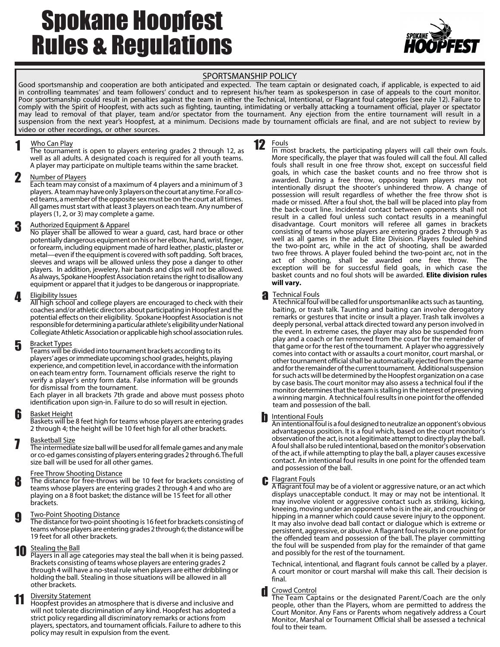# Spokane Hoopfest Rules & Regulations



### SPORTSMANSHIP POLICY

Good sportsmanship and cooperation are both anticipated and expected. The team captain or designated coach, if applicable, is expected to aid in controlling teammates' and team followers' conduct and to represent his/her team as spokesperson in case of appeals to the court monitor. Poor sportsmanship could result in penalties against the team in either the Technical, Intentional, or Flagrant foul categories (see rule 12). Failure to comply with the Spirit of Hoopfest, with acts such as fighting, taunting, intimidating or verbally attacking a tournament official, player or spectator may lead to removal of that player, team and/or spectator from the tournament. Any ejection from the entire tournament will result in a suspension from the next year's Hoopfest, at a minimum. Decisions made by tournament officials are final, and are not subject to review by video or other recordings, or other sources.

12

### 1 Who Can Play

The tournament is open to players entering grades 2 through 12, as well as all adults. A designated coach is required for all youth teams. A player may participate on multiple teams within the same bracket.

#### 2 Number of Players

Each team may consist of a maximum of 4 players and a minimum of 3 players. A team may have only 3 players on the court at any time. For all coed teams, a member of the opposite sex must be on the court at all times. All games must start with at least 3 players on each team. Any number of players (1, 2, or 3) may complete a game.

### 3 Authorized Equipment & Apparel

No player shall be allowed to wear a guard, cast, hard brace or other potentially dangerous equipment on his or her elbow, hand, wrist, finger, or forearm, including equipment made of hard leather, plastic, plaster or metal—even if the equipment is covered with soft padding. Soft braces, sleeves and wraps will be allowed unless they pose a danger to other players. In addition, jewelery, hair bands and clips will not be allowed. As always, Spokane Hoopfest Association retains the right to disallow any equipment or apparel that it judges to be dangerous or inappropriate.

### 4 Eligibility Issues

All high school and college players are encouraged to check with their coaches and/or athletic directors about participating in Hoopfest and the potential effects on their eligibility. Spokane Hoopfest Association is not responsible for determining a particular athlete's eligibility under National Collegiate Athletic Association or applicable high school association rules.

#### 5 Bracket Types

Teams will be divided into tournament brackets according to its players'ages or immediate upcoming school grades, heights, playing experience, and competition level, in accordance with the information on each team entry form. Tournament officials reserve the right to verify a player's entry form data. False information will be grounds for dismissal from the tournament.

Each player in all brackets 7th grade and above must possess photo identification upon sign-in. Failure to do so will result in ejection.

#### 6 Basket Height

Baskets will be 8 feet high for teams whose players are entering grades 2 through 4; the height will be 10 feet high for all other brackets.

### **7** Basketball Size

The intermediate size ball will be used for all female games and any male or co-ed games consisting of players entering grades 2 through 6.The full size ball will be used for all other games.

### Free Throw Shooting Distance

8 The distance for free-throws will be 10 feet for brackets consisting of teams whose players are entering grades 2 through 4 and who are playing on a 8 foot basket; the distance will be 15 feet for all other brackets.

### **g** Two-Point Shooting Distance

The distance for two-point shooting is 16 feet for brackets consisting of teams whose players are entering grades 2 through 6; the distance will be 19 feet for all other brackets.

# **10** Stealing the Ball<br>Players in all age

Players in all age categories may steal the ball when it is being passed. Brackets consisting of teams whose players are entering grades 2 through 4 will have a no-steal rule when players are either dribbling or holding the ball. Stealing in those situations will be allowed in all other brackets.

### Diversity Statement

**Homman Statement**<br> **11** Diversity Statement<br>
Hoopfest provides an atmosphere that is diverse and inclusive and will not tolerate discrimination of any kind. Hoopfest has adopted a strict policy regarding all discriminatory remarks or actions from players, spectators, and tournament officials. Failure to adhere to this policy may result in expulsion from the event.

**Fouls** In most brackets, the participating players will call their own fouls. More specifically, the player that was fouled will call the foul. All called fouls shall result in one free throw shot, except on successful field goals, in which case the basket counts and no free throw shot is awarded. During a free throw, opposing team players may not intentionally disrupt the shooter's unhindered throw. A change of possession will result regardless of whether the free throw shot is made or missed. After a foul shot, the ball will be placed into play from the back-court line. Incidental contact between opponents shall not result in a called foul unless such contact results in a meaningful disadvantage. Court monitors will referee all games in brackets consisting of teams whose players are entering grades 2 through 9 as well as all games in the adult Elite Division. Players fouled behind the two-point arc, while in the act of shooting, shall be awarded two free throws. A player fouled behind the two-point arc, not in the act of shooting, shall be awarded one free throw. The exception will be for successful field goals, in which case the basket counts and no foul shots will be awarded. **Elite division rules will vary.**

### **a** Technical Fouls

A technical foul will be called for unsportsmanlike acts such as taunting, baiting, or trash talk. Taunting and baiting can involve derogatory remarks or gestures that incite or insult a player. Trash talk involves a deeply personal, verbal attack directed toward any person involved in the event. In extreme cases, the player may also be suspended from play and a coach or fan removed from the court for the remainder of that game or for the rest of the tournament. A player who aggressively comes into contact with or assaults a court monitor, court marshal, or other tournament official shall be automatically ejected from the game and for the remainder of the current tournament. Additional suspension for such acts will be determined by the Hoopfest organization on a case by case basis. The court monitor may also assess a technical foul if the monitor determines that the team is stalling in the interest of preserving a winning margin. A technical foul results in one point for the offended team and possession of the ball.

#### b Intentional Fouls

Anintentional foul is a foul designed to neutralize an opponent's obvious advantageous position. It is a foul which, based on the court monitor's observation of the act, is not a legitimate attempt to directly play the ball. Afoul shall also be ruled intentional, based on the monitor's observation of the act, if while attempting to play the ball, a player causes excessive contact. An intentional foul results in one point for the offended team and possession of the ball.

### C Flagrant Fouls

A flagrant foul may be of a violent or aggressive nature, or an act which displays unacceptable conduct. It may or may not be intentional. It may involve violent or aggressive contact such as striking, kicking, kneeing, moving under an opponent who is in the air, and crouching or hipping in a manner which could cause severe injury to the opponent. It may also involve dead ball contact or dialogue which is extreme or persistent, aggressive, or abusive. A flagrant foul results in one point for the offended team and possession of the ball. The player committing the foul will be suspended from play for the remainder of that game and possibly for the rest of the tournament.

Technical, intentional, and flagrant fouls cannot be called by a player. A court monitor or court marshal will make this call. Their decision is final.

### Crowd Control

The Team Captains or the designated Parent/Coach are the only people, other than the Players, whom are permitted to address the Court Monitor. Any Fans or Parents whom negatively address a Court Monitor, Marshal or Tournament Official shall be assessed a technical foul to their team.